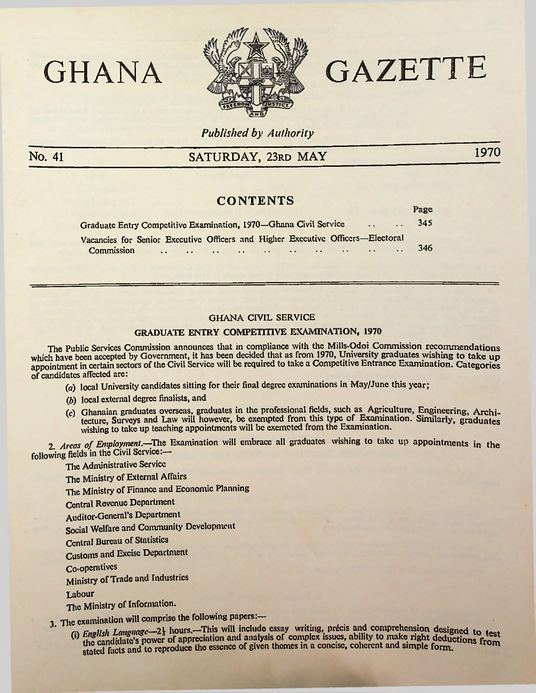



# GAZETTE

 $\mathbf{p}_{\alpha\alpha\beta}$ 

Published by Authority

No. 41

## SATURDAY, 23RD MAY

1970

## **CONTENTS**

|                                                                                 | ---- |
|---------------------------------------------------------------------------------|------|
| Graduate Entry Competitive Examination, 1970-Ghana Civil Service                | 345  |
| Vacancies for Senior Executive Officers and Higher Executive Officers-Electoral |      |
| Commission 346                                                                  |      |

#### **GHANA CIVIL SERVICE**

### **GRADUATE ENTRY COMPETITIVE EXAMINATION, 1970**

The Public Services Commission announces that in compliance with the Mills-Odoi Commission recommendations which have been accepted by Government, it has been decided that as from 1970, University graduates wishing to take up<br>appointment in certain sectors of the Civil Service will be required to take a Competitive Entrance Exa of candidates affected are:

(a) local University candidates sitting for their final degree examinations in May/June this year:

- (b) local external degree finalists, and
- (c) Ghanaian graduates overseas, graduates in the professional fields, such as Agriculture, Engineering, Architecture, Surveys and Law will however, be exempted from this type of Examination. Similarly, graduates wishing to take up teaching appointments will be exempted from the Examination.

2. Areas of Employment.—The Examination will embrace all graduates wishing to take up appointments in the following fields in the Civil Service:-

The Administrative Service

The Ministry of External Affairs

The Ministry of Finance and Economic Planning

**Central Revenue Department** 

**Auditor-General's Department** 

Social Welfare and Community Development

**Central Bureau of Statistics** 

**Customs and Excise Department** 

Co-operatives

Ministry of Trade and Industries

Labour

The Ministry of Information.

3. The examination will comprise the following papers:-

(i) English Language—2 $\frac{1}{2}$  hours,—This will include essay writing, précis and comprehension designed to test<br>the candidate's power of appreciation and analysis of complex issues, ability to make right dedictions from the canonical power of approximate the essence of given themes in a concise, coherent and simple form.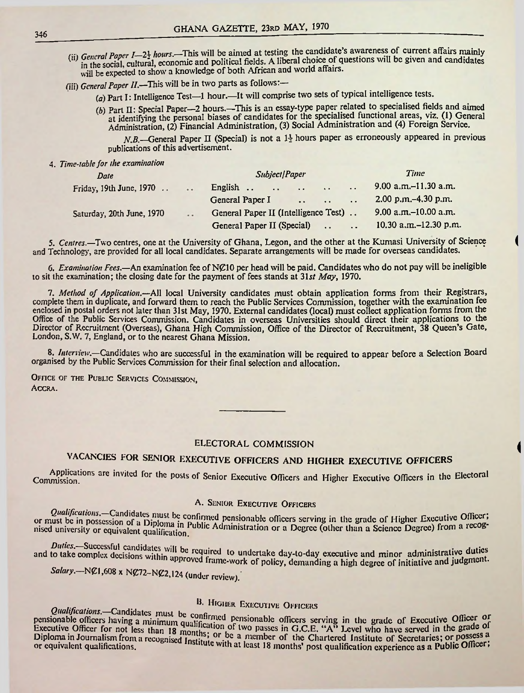,:n *General Paper 1-21 hours.-*This will be aimed at testing the candidate's awareness of current affairs mainly *wearn a uper*  $1 - 2$  the social, cultural, economic and political fields. A liberal choice of questions will be given and candidates will be expected to show a knowledge of both African and world affairs.

(iii) *General Paper II*.—This will be in two parts as follows:—

*(a)* Part I: Intelligence Test—1 hour.—It will comprise two sets of typical intelligence tests.

*(b)* Part II: Special Paper—2 hours.—This is an essay-type paper related to specialised fields and aimed at identifying the personal biases of candidates for the specialised functional areas, viz. (1) General Administration, (2) Financial Administration, (3) Social Administration and (4) Foreign Service.

A'5—General Paper II (Special) is not <sup>a</sup> *l-\* hours paper as erroneously appeared in previous publications of this advertisement.

1

*(*

4. *Time-table for the examination*

| Date                      |                       | Subject Paper                                                                                                                                                                                                                             |               | Time                     |
|---------------------------|-----------------------|-------------------------------------------------------------------------------------------------------------------------------------------------------------------------------------------------------------------------------------------|---------------|--------------------------|
| Friday, 19th June, 1970   | $\dddot{\phantom{0}}$ | English<br>the contract of the contract of the contract of the contract of the contract of the contract of the contract of the contract of the contract of the contract of the contract of the contract of the contract of the contract o | $\sim$ $\sim$ | 9.00 a.m. $-11.30$ a.m.  |
|                           |                       | General Paper I<br>$\sim$ $\sim$ $\sim$ $\sim$ $\sim$ $\sim$ $\sim$                                                                                                                                                                       |               | 2.00 p.m. - 4.30 p.m.    |
| Saturday, 20th June, 1970 | $\cdot$ $\cdot$       | General Paper II (Intelligence Test)                                                                                                                                                                                                      |               | 9.00 a.m. $-10.00$ a.m.  |
|                           |                       | General Paper II (Special)<br><b>Contract Contract Contract</b>                                                                                                                                                                           |               | 10.30 a.m. $-12.30$ p.m. |

5. *Centres.—*Two centres, one at the University of Ghana, Legon, and the other at the Kumasi University of Science and Technology, are provided for all local candidates. Separate arrangements will be made for overseas candidates.

6. *Examination Fees.*—An examination fee ofN{£10 per head will be paid. Candidates who do not pay will be ineligible to sit the examination; the closing date for the payment of fees stands at 31*st May*, 1970.

7. *Method of Application.*—All local University candidates must obtain application forms from their Registrars, complete them in duplicate, and forward them to reach the Public Services Commission, together with the examination fee enclosed in postal orders not later than 31st May, 1970. External candidates (local) must collect application forms from the Office of the Public Services Commission. Candidates in overseas Universities should direct their applications to the Director of Recruitment (Overseas), Ghana High Commission, Office of the Director of Recruitment, 38 Queen's Gate, London, S.W. 7, England, or to the nearest Ghana Mission.

8. *Interview.*—Candidates who are successful in the examination will be required to appear before a Selection Board organised by the Public Services Commission for their final selection and allocation.

OFFICE OF THE PUBLIC SERVICES COMMISSION, Accra.

#### ELECTORAL COMMISSION

# VACANCIES FOR SENIOR EXECUTIVE OFFICERS AND HIGHER EXECUTIVE OFFICERS

Applications are invited for the posts of Senior Executive Officers and Higher Executive Officers in the Electoral<br>Commission.

A. SENIOR EXECUTIVE OFFICERS<br>Qualifications.—Candidates must be confirmed pensionable officers serving in the grade of Higher Executive Officer; or must be in possession of a Diploma in Public Administration or a Degree (other than a Science Degree) from a recognised university or equivalent qualification of must be in possession of a Diploma in P<br>nised university or equivalent qualification.

Duties.—Successful candidates will be required to undertake day-to-day executive and minor administrative duties<br>to take complex decisions within approved to undertake day-to-day executive and minor administrative durant and to take complex decisions within approved frame-work of policy, demanding a high degree of initiative and judgment.

N£72-N£2,124 (under review). *Salary.—*N£1,608 <sup>x</sup>

B. HIGHER EXECUTIVE OFFICERS<br>pensionable officers having a minimum qualification pensionable officers serving in the grade of Executive Officer Executive Officer for not less than 18 months; or be a member of the Chartered Institute of Secretaries; or possess a<br>Diploma in Journalism from a recognised Institute with a least 18 member of the Chartered Institute of S Diploma in Journalism from a recognised Institute with at least 18 months' post qualification experience as a Public Officer; or equivalent qualifications.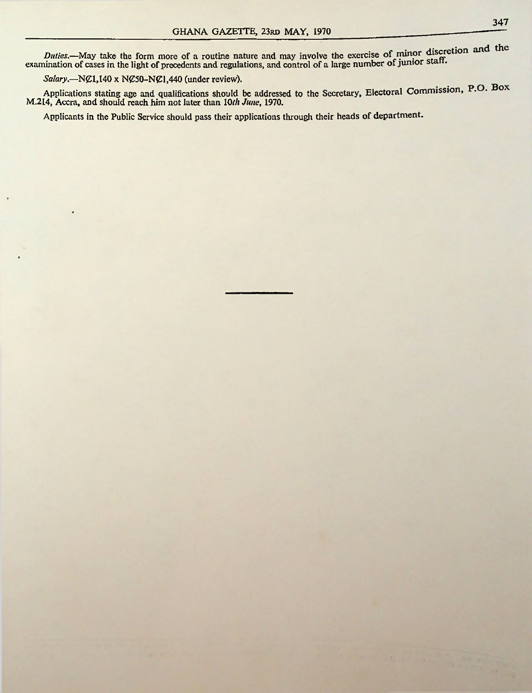Duties.—May take the form more of a routine nature and may involve the exercise of minor discretion and the examination of cases in the light of precedents and regulations, and control of a large number of junior staff.

*Salary*.—N*C*1,140 x N*C*50-N*C*1,440 (under review).

Applications stating age and qualifications should be addressed to the Secretary, Electoral Commission, P-O. Box M.214, Accra, and should reach him not later than *10th June*, 1970.

Applicants in the Public Service should pass their applications through their heads of department.